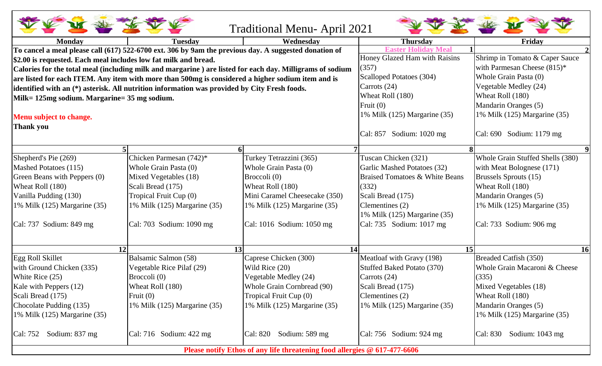| <b>Traditional Menu-April 2021</b>                                                                    |                                                                                                          |                                  |                                           |                                  |  |  |  |
|-------------------------------------------------------------------------------------------------------|----------------------------------------------------------------------------------------------------------|----------------------------------|-------------------------------------------|----------------------------------|--|--|--|
| <b>Monday</b>                                                                                         | <b>Tuesdav</b>                                                                                           | Wednesday                        | <b>Thursday</b>                           | Friday                           |  |  |  |
| To cancel a meal please call (617) 522-6700 ext. 306 by 9am the previous day. A suggested donation of |                                                                                                          |                                  | Easter H<br><b>Meal</b>                   |                                  |  |  |  |
| \$2.00 is requested. Each meal includes low fat milk and bread.                                       |                                                                                                          | Honey Glazed Ham with Raisins    | Shrimp in Tomato & Caper Sauce            |                                  |  |  |  |
|                                                                                                       | Calories for the total meal (including milk and margarine) are listed for each day. Milligrams of sodium | (357)                            | with Parmesan Cheese (815)*               |                                  |  |  |  |
|                                                                                                       | are listed for each ITEM. Any item with more than 500mg is considered a higher sodium item and is        | Scalloped Potatoes (304)         | Whole Grain Pasta (0)                     |                                  |  |  |  |
|                                                                                                       | identified with an (*) asterisk. All nutrition information was provided by City Fresh foods.             | Carrots (24)                     | Vegetable Medley (24)                     |                                  |  |  |  |
| Milk= 125mg sodium. Margarine= 35 mg sodium.                                                          |                                                                                                          | Wheat Roll (180)                 | Wheat Roll (180)                          |                                  |  |  |  |
|                                                                                                       |                                                                                                          | Fruit $(0)$                      | Mandarin Oranges (5)                      |                                  |  |  |  |
| Menu subject to change.                                                                               |                                                                                                          | 1% Milk (125) Margarine (35)     | 1% Milk (125) Margarine (35)              |                                  |  |  |  |
| Thank you                                                                                             |                                                                                                          |                                  |                                           |                                  |  |  |  |
|                                                                                                       |                                                                                                          |                                  | Cal: 857 Sodium: 1020 mg                  | Cal: 690 Sodium: 1179 mg         |  |  |  |
|                                                                                                       |                                                                                                          | 6 <sup>1</sup>                   |                                           |                                  |  |  |  |
| Shepherd's Pie (269)                                                                                  | Chicken Parmesan (742)*                                                                                  | Turkey Tetrazzini (365)          | Tuscan Chicken (321)                      | Whole Grain Stuffed Shells (380) |  |  |  |
| Mashed Potatoes (115)                                                                                 | Whole Grain Pasta (0)                                                                                    | Whole Grain Pasta (0)            | Garlic Mashed Potatoes (32)               | with Meat Bolognese (171)        |  |  |  |
| Green Beans with Peppers (0)                                                                          | Mixed Vegetables (18)                                                                                    | Broccoli (0)                     | <b>Braised Tomatoes &amp; White Beans</b> | Brussels Sprouts (15)            |  |  |  |
| Wheat Roll (180)                                                                                      | Scali Bread (175)                                                                                        | Wheat Roll (180)                 | (332)                                     | Wheat Roll (180)                 |  |  |  |
| Vanilla Pudding (130)                                                                                 | Tropical Fruit Cup (0)                                                                                   | Mini Caramel Cheesecake (350)    | Scali Bread (175)                         | Mandarin Oranges (5)             |  |  |  |
| 1% Milk (125) Margarine (35)                                                                          | 1% Milk (125) Margarine (35)                                                                             | 1% Milk $(125)$ Margarine $(35)$ | Clementines (2)                           | 1% Milk (125) Margarine (35)     |  |  |  |
|                                                                                                       |                                                                                                          |                                  | 1% Milk (125) Margarine (35)              |                                  |  |  |  |
| $\text{Cal: } 737$ Sodium: 849 mg                                                                     | Cal: 703 Sodium: 1090 mg                                                                                 | Cal: 1016 Sodium: 1050 mg        | Cal: 735 Sodium: 1017 mg                  | Cal: 733 Sodium: 906 mg          |  |  |  |
|                                                                                                       | 12                                                                                                       | 13<br>14                         | 15                                        | <b>16</b>                        |  |  |  |
| Egg Roll Skillet                                                                                      | Balsamic Salmon (58)                                                                                     | Caprese Chicken (300)            | Meatloaf with Gravy (198)                 | Breaded Catfish (350)            |  |  |  |
| with Ground Chicken (335)                                                                             | Vegetable Rice Pilaf (29)                                                                                | Wild Rice (20)                   | Stuffed Baked Potato (370)                | Whole Grain Macaroni & Cheese    |  |  |  |
| White Rice (25)                                                                                       | Broccoli (0)                                                                                             | Vegetable Medley (24)            | Carrots (24)                              | (335)                            |  |  |  |
| Kale with Peppers (12)                                                                                | Wheat Roll (180)                                                                                         | Whole Grain Cornbread (90)       | Scali Bread (175)                         | Mixed Vegetables (18)            |  |  |  |
| Scali Bread (175)                                                                                     | Fruit $(0)$                                                                                              | Tropical Fruit Cup (0)           | Clementines (2)                           | Wheat Roll (180)                 |  |  |  |
| Chocolate Pudding (135)                                                                               | 1% Milk (125) Margarine (35)                                                                             | 1% Milk (125) Margarine (35)     | 1% Milk (125) Margarine (35)              | Mandarin Oranges (5)             |  |  |  |
| 1% Milk $(125)$ Margarine $(35)$                                                                      |                                                                                                          |                                  |                                           | 1% Milk (125) Margarine (35)     |  |  |  |
| Sodium: 837 mg<br>Cal: 752                                                                            | Cal: 716 Sodium: $422 \text{ mg}$                                                                        | Sodium: 589 mg<br>Cal: 820       | Cal: 756 Sodium: 924 mg                   | Sodium: $1043$ mg<br>Cal: 830    |  |  |  |
| Please notify Ethos of any life threatening food allergies @ 617-477-6606                             |                                                                                                          |                                  |                                           |                                  |  |  |  |